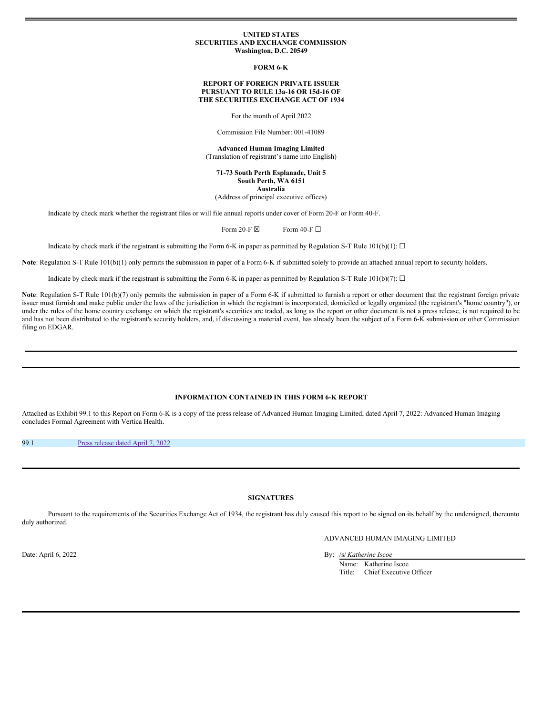### **UNITED STATES SECURITIES AND EXCHANGE COMMISSION Washington, D.C. 20549**

**FORM 6-K**

# **REPORT OF FOREIGN PRIVATE ISSUER PURSUANT TO RULE 13a-16 OR 15d-16 OF THE SECURITIES EXCHANGE ACT OF 1934**

For the month of April 2022

Commission File Number: 001-41089

**Advanced Human Imaging Limited** (Translation of registrant's name into English)

**71-73 South Perth Esplanade, Unit 5 South Perth, WA 6151 Australia**

(Address of principal executive offices)

Indicate by check mark whether the registrant files or will file annual reports under cover of Form 20-F or Form 40-F.

Form 20-F  $\boxtimes$  Form 40-F  $\Box$ 

Indicate by check mark if the registrant is submitting the Form 6-K in paper as permitted by Regulation S-T Rule 101(b)(1):  $\Box$ 

**Note**: Regulation S-T Rule 101(b)(1) only permits the submission in paper of a Form 6-K if submitted solely to provide an attached annual report to security holders.

Indicate by check mark if the registrant is submitting the Form 6-K in paper as permitted by Regulation S-T Rule 101(b)(7):  $\Box$ 

Note: Regulation S-T Rule 101(b)(7) only permits the submission in paper of a Form 6-K if submitted to furnish a report or other document that the registrant foreign private issuer must furnish and make public under the laws of the jurisdiction in which the registrant is incorporated, domiciled or legally organized (the registrant's "home country"), or under the rules of the home country exchange on which the registrant's securities are traded, as long as the report or other document is not a press release, is not required to be and has not been distributed to the registrant's security holders, and, if discussing a material event, has already been the subject of a Form 6-K submission or other Commission filing on EDGAR.

# **INFORMATION CONTAINED IN THIS FORM 6-K REPORT**

Attached as Exhibit 99.1 to this Report on Form 6-K is a copy of the press release of Advanced Human Imaging Limited, dated April 7, 2022: Advanced Human Imaging concludes Formal Agreement with Vertica Health.

99.1 Press [release](#page-1-0) dated April 7, 2022

### **SIGNATURES**

Pursuant to the requirements of the Securities Exchange Act of 1934, the registrant has duly caused this report to be signed on its behalf by the undersigned, thereunto duly authorized.

# ADVANCED HUMAN IMAGING LIMITED

Date: April 6, 2022 By: /s/ *Katherine Iscoe*

Name: Katherine Iscoe<br>Title: Chief Executive Chief Executive Officer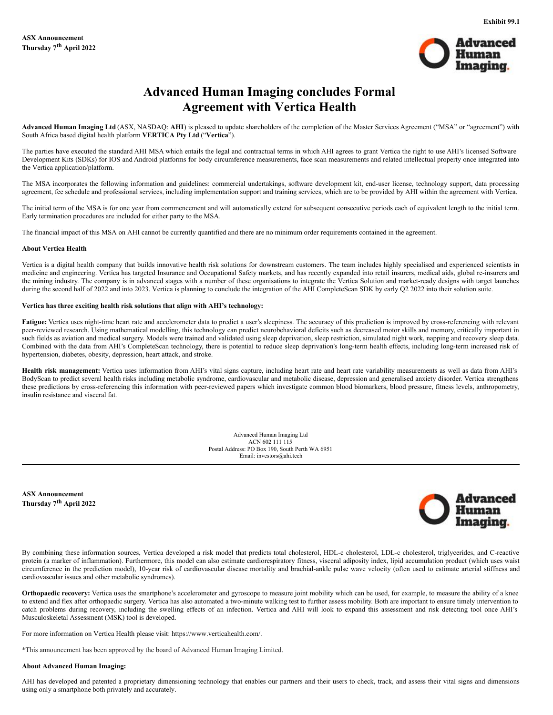

# **Advanced Human Imaging concludes Formal Agreement with Vertica Health**

<span id="page-1-0"></span>**Advanced Human Imaging Ltd** (ASX, NASDAQ: **AHI**) is pleased to update shareholders of the completion of the Master Services Agreement ("MSA" or "agreement") with South Africa based digital health platform **VERTICA Pty Ltd** ("**Vertica**").

The parties have executed the standard AHI MSA which entails the legal and contractual terms in which AHI agrees to grant Vertica the right to use AHI's licensed Software Development Kits (SDKs) for IOS and Android platforms for body circumference measurements, face scan measurements and related intellectual property once integrated into the Vertica application/platform.

The MSA incorporates the following information and guidelines: commercial undertakings, software development kit, end-user license, technology support, data processing agreement, fee schedule and professional services, including implementation support and training services, which are to be provided by AHI within the agreement with Vertica.

The initial term of the MSA is for one year from commencement and will automatically extend for subsequent consecutive periods each of equivalent length to the initial term. Early termination procedures are included for either party to the MSA.

The financial impact of this MSA on AHI cannot be currently quantified and there are no minimum order requirements contained in the agreement.

### **About Vertica Health**

Vertica is a digital health company that builds innovative health risk solutions for downstream customers. The team includes highly specialised and experienced scientists in medicine and engineering. Vertica has targeted Insurance and Occupational Safety markets, and has recently expanded into retail insurers, medical aids, global re-insurers and the mining industry. The company is in advanced stages with a number of these organisations to integrate the Vertica Solution and market-ready designs with target launches during the second half of 2022 and into 2023. Vertica is planning to conclude the integration of the AHI CompleteScan SDK by early Q2 2022 into their solution suite.

### **Vertica has three exciting health risk solutions that align with AHI's technology:**

Fatigue: Vertica uses night-time heart rate and accelerometer data to predict a user's sleepiness. The accuracy of this prediction is improved by cross-referencing with relevant peer-reviewed research. Using mathematical modelling, this technology can predict neurobehavioral deficits such as decreased motor skills and memory, critically important in such fields as aviation and medical surgery. Models were trained and validated using sleep deprivation, sleep restriction, simulated night work, napping and recovery sleep data. Combined with the data from AHI's CompleteScan technology, there is potential to reduce sleep deprivation's long-term health effects, including long-term increased risk of hypertension, diabetes, obesity, depression, heart attack, and stroke.

**Health risk management:** Vertica uses information from AHI's vital signs capture, including heart rate and heart rate variability measurements as well as data from AHI's BodyScan to predict several health risks including metabolic syndrome, cardiovascular and metabolic disease, depression and generalised anxiety disorder. Vertica strengthens these predictions by cross-referencing this information with peer-reviewed papers which investigate common blood biomarkers, blood pressure, fitness levels, anthropometry, insulin resistance and visceral fat.

> Advanced Human Imaging Ltd ACN 602 111 115 Postal Address: PO Box 190, South Perth WA 6951 Email: investors@ahi.tech

**ASX Announcement Thursday 7 th April 2022**



By combining these information sources, Vertica developed a risk model that predicts total cholesterol, HDL-c cholesterol, LDL-c cholesterol, triglycerides, and C-reactive protein (a marker of inflammation). Furthermore, this model can also estimate cardiorespiratory fitness, visceral adiposity index, lipid accumulation product (which uses waist circumference in the prediction model), 10-year risk of cardiovascular disease mortality and brachial-ankle pulse wave velocity (often used to estimate arterial stiffness and cardiovascular issues and other metabolic syndromes).

**Orthopaedic recovery:** Vertica uses the smartphone's accelerometer and gyroscope to measure joint mobility which can be used, for example, to measure the ability of a knee to extend and flex after orthopaedic surgery. Vertica has also automated a two-minute walking test to further assess mobility. Both are important to ensure timely intervention to catch problems during recovery, including the swelling effects of an infection. Vertica and AHI will look to expand this assessment and risk detecting tool once AHI's Musculoskeletal Assessment (MSK) tool is developed.

For more information on Vertica Health please visit: https://www.verticahealth.com/.

\*This announcement has been approved by the board of Advanced Human Imaging Limited.

### **About Advanced Human Imaging:**

AHI has developed and patented a proprietary dimensioning technology that enables our partners and their users to check, track, and assess their vital signs and dimensions using only a smartphone both privately and accurately.